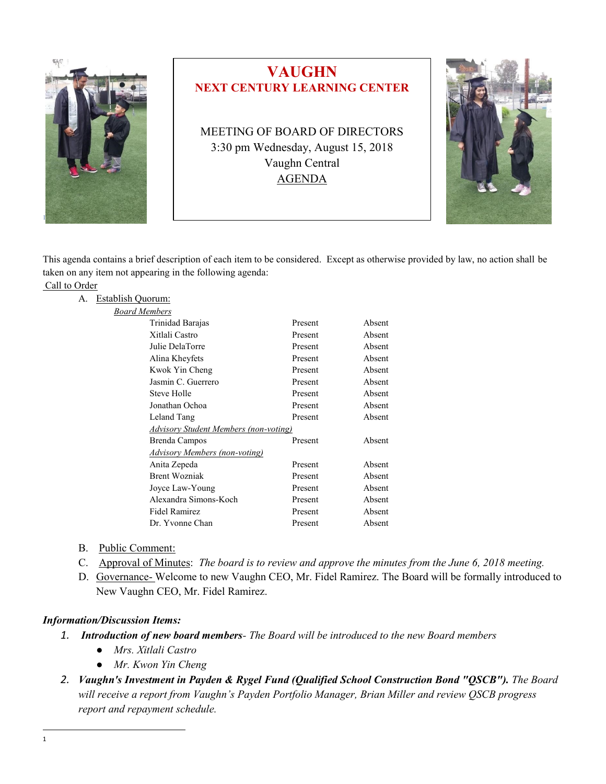

This agenda contains a brief description of each item to be considered. Except as otherwise provided by law, no action shall be taken on any item not appearing in the following agenda:

|  | Call to Order |
|--|---------------|
|  |               |

| А.           | Establish Quorum:    |                                              |         |        |  |
|--------------|----------------------|----------------------------------------------|---------|--------|--|
|              | <b>Board Members</b> |                                              |         |        |  |
|              |                      | Trinidad Barajas                             | Present | Absent |  |
|              |                      | Xitlali Castro                               | Present | Absent |  |
|              |                      | Julie DelaTorre                              | Present | Absent |  |
|              |                      | Alina Kheyfets                               | Present | Absent |  |
|              |                      | Kwok Yin Cheng                               | Present | Absent |  |
|              |                      | Jasmin C. Guerrero                           | Present | Absent |  |
|              |                      | Steve Holle                                  | Present | Absent |  |
|              |                      | Jonathan Ochoa                               | Present | Absent |  |
|              |                      | Leland Tang                                  | Present | Absent |  |
|              |                      | <b>Advisory Student Members (non-voting)</b> |         |        |  |
|              |                      | Brenda Campos                                | Present | Absent |  |
|              |                      | Advisory Members (non-voting)                |         |        |  |
| Anita Zepeda |                      | Present                                      | Absent  |        |  |
|              |                      | <b>Brent Wozniak</b>                         | Present | Absent |  |
|              |                      | Joyce Law-Young                              | Present | Absent |  |
|              |                      | Alexandra Simons-Koch                        | Present | Absent |  |
|              |                      | Fidel Ramirez                                | Present | Absent |  |
|              |                      | Dr. Yvonne Chan                              | Present | Absent |  |
|              |                      |                                              |         |        |  |

- B. Public Comment:
- C. Approval of Minutes: *The board is to review and approve the minutes from the June 6, 2018 meeting.*
- D. Governance- Welcome to new Vaughn CEO, Mr. Fidel Ramirez. The Board will be formally introduced to New Vaughn CEO, Mr. Fidel Ramirez.

## *Information/Discussion Items:*

- *1. Introduction of new board members- The Board will be introduced to the new Board members*
	- *Mrs. Xitlali Castro*
		- *Mr. Kwon Yin Cheng*
- *2. Vaughn's Investment in Payden & Rygel Fund (Qualified School Construction Bond "QSCB"). The Board will receive a report from Vaughn's Payden Portfolio Manager, Brian Miller and review QSCB progress report and repayment schedule.*